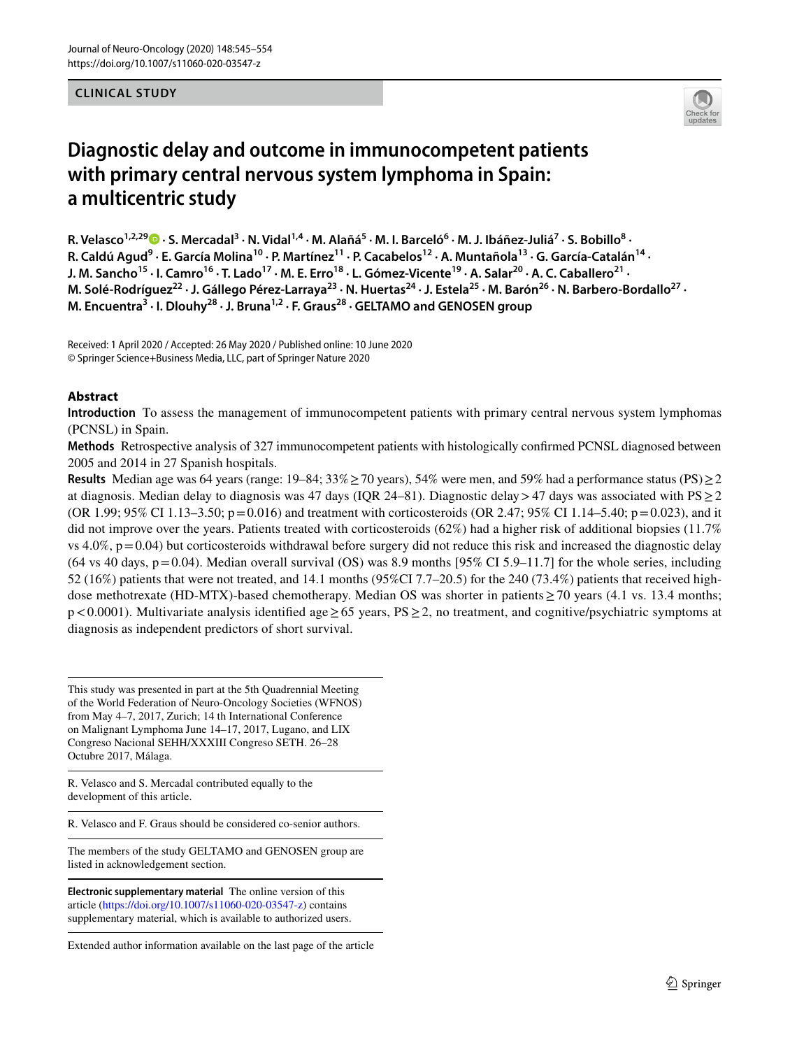#### **CLINICAL STUDY**



# **Diagnostic delay and outcome in immunocompetent patients with primary central nervous system lymphoma in Spain: a multicentric study**

R.Velasco<sup>1,2,29</sup> D · S. Mercadal<sup>3</sup> · N. Vidal<sup>1,4</sup> · M. Alañá<sup>5</sup> · M. I. Barceló<sup>6</sup> · M. J. Ibáñez-Juliá<sup>7</sup> · S. Bobillo<sup>8</sup> · R. Caldú Agud<sup>9</sup> · E. García Molina<sup>10</sup> · P. Martínez<sup>11</sup> · P. Cacabelos<sup>12</sup> · A. Muntañola<sup>13</sup> · G. García-Catalán<sup>14</sup> · J. M. Sancho<sup>15</sup> · I. Camro<sup>16</sup> · T. Lado<sup>17</sup> · M. E. Erro<sup>18</sup> · L. Gómez-Vicente<sup>19</sup> · A. Salar<sup>20</sup> · A. C. Caballero<sup>21</sup> · M. Solé-Rodríguez<sup>22</sup> · J. Gállego Pérez-Larraya<sup>23</sup> · N. Huertas<sup>24</sup> · J. Estela<sup>25</sup> · M. Barón<sup>26</sup> · N. Barbero-Bordallo<sup>27</sup> · **M. Encuentra<sup>3</sup> · I. Dlouhy28 · J. Bruna1,2 · F. Graus28 · GELTAMO and GENOSEN group**

Received: 1 April 2020 / Accepted: 26 May 2020 / Published online: 10 June 2020 © Springer Science+Business Media, LLC, part of Springer Nature 2020

## **Abstract**

**Introduction** To assess the management of immunocompetent patients with primary central nervous system lymphomas (PCNSL) in Spain.

**Methods** Retrospective analysis of 327 immunocompetent patients with histologically confrmed PCNSL diagnosed between 2005 and 2014 in 27 Spanish hospitals.

**Results** Median age was 64 years (range: 19–84; 33%≥70 years), 54% were men, and 59% had a performance status (PS)≥2 at diagnosis. Median delay to diagnosis was 47 days (IQR 24–81). Diagnostic delay>47 days was associated with  $PS \ge 2$ (OR 1.99; 95% CI 1.13–3.50; p=0.016) and treatment with corticosteroids (OR 2.47; 95% CI 1.14–5.40; p=0.023), and it did not improve over the years. Patients treated with corticosteroids (62%) had a higher risk of additional biopsies (11.7% vs  $4.0\%$ ,  $p=0.04$ ) but corticosteroids withdrawal before surgery did not reduce this risk and increased the diagnostic delay (64 vs 40 days,  $p=0.04$ ). Median overall survival (OS) was 8.9 months [95% CI 5.9–11.7] for the whole series, including 52 (16%) patients that were not treated, and 14.1 months (95%CI 7.7–20.5) for the 240 (73.4%) patients that received highdose methotrexate (HD-MTX)-based chemotherapy. Median OS was shorter in patients≥70 years (4.1 vs. 13.4 months; p<0.0001). Multivariate analysis identifed age≥65 years, PS≥2, no treatment, and cognitive/psychiatric symptoms at diagnosis as independent predictors of short survival.

This study was presented in part at the 5th Quadrennial Meeting of the World Federation of Neuro-Oncology Societies (WFNOS) from May 4–7, 2017, Zurich; 14 th International Conference on Malignant Lymphoma June 14–17, 2017, Lugano, and LIX Congreso Nacional SEHH/XXXIII Congreso SETH. 26–28 Octubre 2017, Málaga.

R. Velasco and S. Mercadal contributed equally to the development of this article.

R. Velasco and F. Graus should be considered co-senior authors.

The members of the study GELTAMO and GENOSEN group are listed in acknowledgement section.

**Electronic supplementary material** The online version of this article [\(https://doi.org/10.1007/s11060-020-03547-z](https://doi.org/10.1007/s11060-020-03547-z)) contains supplementary material, which is available to authorized users.

Extended author information available on the last page of the article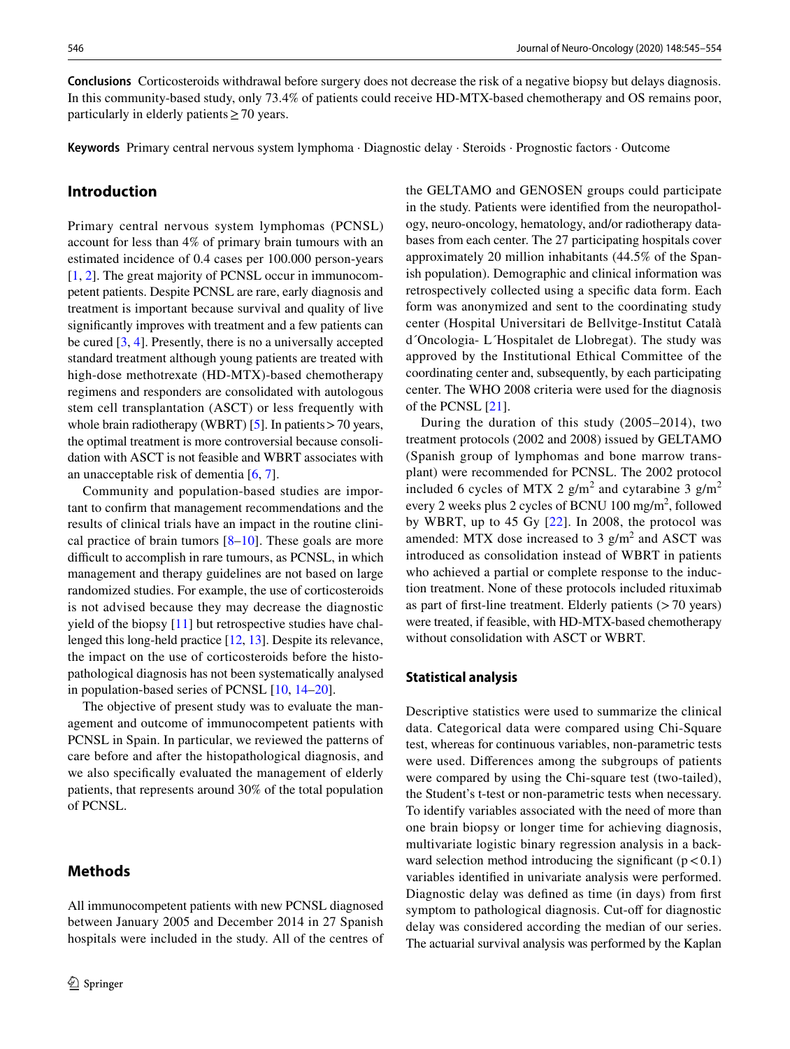**Conclusions** Corticosteroids withdrawal before surgery does not decrease the risk of a negative biopsy but delays diagnosis. In this community-based study, only 73.4% of patients could receive HD-MTX-based chemotherapy and OS remains poor, particularly in elderly patients  $\geq$  70 years.

**Keywords** Primary central nervous system lymphoma · Diagnostic delay · Steroids · Prognostic factors · Outcome

### **Introduction**

Primary central nervous system lymphomas (PCNSL) account for less than 4% of primary brain tumours with an estimated incidence of 0.4 cases per 100.000 person-years [\[1](#page-7-0), [2](#page-7-1)]. The great majority of PCNSL occur in immunocompetent patients. Despite PCNSL are rare, early diagnosis and treatment is important because survival and quality of live signifcantly improves with treatment and a few patients can be cured [[3](#page-7-2), [4\]](#page-7-3). Presently, there is no a universally accepted standard treatment although young patients are treated with high-dose methotrexate (HD-MTX)-based chemotherapy regimens and responders are consolidated with autologous stem cell transplantation (ASCT) or less frequently with whole brain radiotherapy (WBRT) [\[5](#page-7-4)]. In patients > 70 years, the optimal treatment is more controversial because consolidation with ASCT is not feasible and WBRT associates with an unacceptable risk of dementia [[6,](#page-7-5) [7\]](#page-7-6).

Community and population-based studies are important to confrm that management recommendations and the results of clinical trials have an impact in the routine clinical practice of brain tumors  $[8-10]$  $[8-10]$  $[8-10]$ . These goals are more difficult to accomplish in rare tumours, as PCNSL, in which management and therapy guidelines are not based on large randomized studies. For example, the use of corticosteroids is not advised because they may decrease the diagnostic yield of the biopsy [\[11](#page-7-9)] but retrospective studies have challenged this long-held practice [[12,](#page-7-10) [13](#page-7-11)]. Despite its relevance, the impact on the use of corticosteroids before the histopathological diagnosis has not been systematically analysed in population-based series of PCNSL [\[10](#page-7-8), [14](#page-7-12)[–20](#page-7-13)].

The objective of present study was to evaluate the management and outcome of immunocompetent patients with PCNSL in Spain. In particular, we reviewed the patterns of care before and after the histopathological diagnosis, and we also specifcally evaluated the management of elderly patients, that represents around 30% of the total population of PCNSL.

# **Methods**

All immunocompetent patients with new PCNSL diagnosed between January 2005 and December 2014 in 27 Spanish hospitals were included in the study. All of the centres of the GELTAMO and GENOSEN groups could participate in the study. Patients were identifed from the neuropathology, neuro-oncology, hematology, and/or radiotherapy databases from each center. The 27 participating hospitals cover approximately 20 million inhabitants (44.5% of the Spanish population). Demographic and clinical information was retrospectively collected using a specifc data form. Each form was anonymized and sent to the coordinating study center (Hospital Universitari de Bellvitge-Institut Català d´Oncologia- L´Hospitalet de Llobregat). The study was approved by the Institutional Ethical Committee of the coordinating center and, subsequently, by each participating center. The WHO 2008 criteria were used for the diagnosis of the PCNSL [\[21](#page-7-14)].

During the duration of this study (2005–2014), two treatment protocols (2002 and 2008) issued by GELTAMO (Spanish group of lymphomas and bone marrow transplant) were recommended for PCNSL. The 2002 protocol included 6 cycles of MTX 2  $g/m^2$  and cytarabine 3  $g/m^2$ every 2 weeks plus 2 cycles of BCNU 100 mg/m<sup>2</sup>, followed by WBRT, up to 45 Gy [\[22\]](#page-7-15). In 2008, the protocol was amended: MTX dose increased to 3  $g/m<sup>2</sup>$  and ASCT was introduced as consolidation instead of WBRT in patients who achieved a partial or complete response to the induction treatment. None of these protocols included rituximab as part of first-line treatment. Elderly patients  $($ >70 years) were treated, if feasible, with HD-MTX-based chemotherapy without consolidation with ASCT or WBRT.

#### **Statistical analysis**

Descriptive statistics were used to summarize the clinical data. Categorical data were compared using Chi-Square test, whereas for continuous variables, non-parametric tests were used. Diferences among the subgroups of patients were compared by using the Chi-square test (two-tailed), the Student's t-test or non-parametric tests when necessary. To identify variables associated with the need of more than one brain biopsy or longer time for achieving diagnosis, multivariate logistic binary regression analysis in a backward selection method introducing the significant  $(p < 0.1)$ variables identifed in univariate analysis were performed. Diagnostic delay was defned as time (in days) from frst symptom to pathological diagnosis. Cut-off for diagnostic delay was considered according the median of our series. The actuarial survival analysis was performed by the Kaplan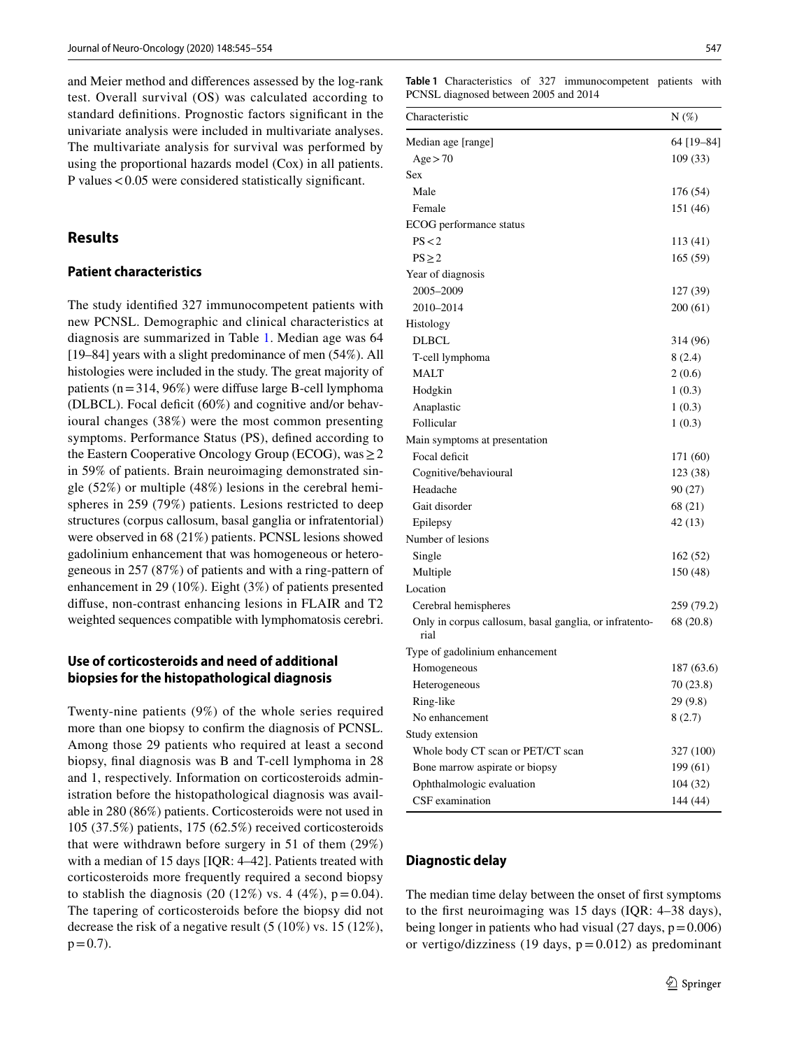and Meier method and diferences assessed by the log-rank test. Overall survival (OS) was calculated according to standard defnitions. Prognostic factors signifcant in the univariate analysis were included in multivariate analyses. The multivariate analysis for survival was performed by using the proportional hazards model (Cox) in all patients. P values<0.05 were considered statistically signifcant.

# **Results**

### **Patient characteristics**

The study identifed 327 immunocompetent patients with new PCNSL. Demographic and clinical characteristics at diagnosis are summarized in Table [1.](#page-2-0) Median age was 64 [19–84] years with a slight predominance of men (54%). All histologies were included in the study. The great majority of patients ( $n=314$ , 96%) were diffuse large B-cell lymphoma (DLBCL). Focal deficit  $(60\%)$  and cognitive and/or behavioural changes (38%) were the most common presenting symptoms. Performance Status (PS), defned according to the Eastern Cooperative Oncology Group (ECOG), was  $\geq$  2 in 59% of patients. Brain neuroimaging demonstrated single (52%) or multiple (48%) lesions in the cerebral hemispheres in 259 (79%) patients. Lesions restricted to deep structures (corpus callosum, basal ganglia or infratentorial) were observed in 68 (21%) patients. PCNSL lesions showed gadolinium enhancement that was homogeneous or heterogeneous in 257 (87%) of patients and with a ring-pattern of enhancement in 29 (10%). Eight (3%) of patients presented difuse, non-contrast enhancing lesions in FLAIR and T2 weighted sequences compatible with lymphomatosis cerebri.

# **Use of corticosteroids and need of additional biopsies for the histopathological diagnosis**

Twenty-nine patients (9%) of the whole series required more than one biopsy to confrm the diagnosis of PCNSL. Among those 29 patients who required at least a second biopsy, fnal diagnosis was B and T-cell lymphoma in 28 and 1, respectively. Information on corticosteroids administration before the histopathological diagnosis was available in 280 (86%) patients. Corticosteroids were not used in 105 (37.5%) patients, 175 (62.5%) received corticosteroids that were withdrawn before surgery in 51 of them (29%) with a median of 15 days [IQR: 4–42]. Patients treated with corticosteroids more frequently required a second biopsy to stablish the diagnosis (20 (12%) vs. 4 (4%),  $p = 0.04$ ). The tapering of corticosteroids before the biopsy did not decrease the risk of a negative result (5 (10%) vs. 15 (12%),  $p = 0.7$ ).

<span id="page-2-0"></span>**Table 1** Characteristics of 327 immunocompetent patients with PCNSL diagnosed between 2005 and 2014

| Characteristic                                                 | $N(\%)$    |
|----------------------------------------------------------------|------------|
| Median age [range]                                             | 64 [19-84] |
| Age > 70                                                       | 109(33)    |
| Sex                                                            |            |
| Male                                                           | 176 (54)   |
| Female                                                         | 151 (46)   |
| ECOG performance status                                        |            |
| PS < 2                                                         | 113 (41)   |
| $PS \geq 2$                                                    | 165(59)    |
| Year of diagnosis                                              |            |
| 2005-2009                                                      | 127 (39)   |
| 2010-2014                                                      | 200(61)    |
| Histology                                                      |            |
| <b>DLBCL</b>                                                   | 314 (96)   |
| T-cell lymphoma                                                | 8(2.4)     |
| <b>MALT</b>                                                    | 2(0.6)     |
| Hodgkin                                                        | 1(0.3)     |
| Anaplastic                                                     | 1(0.3)     |
| Follicular                                                     | 1(0.3)     |
| Main symptoms at presentation                                  |            |
| Focal deficit                                                  | 171 (60)   |
| Cognitive/behavioural                                          | 123 (38)   |
| Headache                                                       | 90 (27)    |
| Gait disorder                                                  | 68 (21)    |
| Epilepsy                                                       | 42 (13)    |
| Number of lesions                                              |            |
| Single                                                         | 162 (52)   |
| Multiple                                                       | 150 (48)   |
| Location                                                       |            |
| Cerebral hemispheres                                           | 259 (79.2) |
| Only in corpus callosum, basal ganglia, or infratento-<br>rial | 68 (20.8)  |
| Type of gadolinium enhancement                                 |            |
| Homogeneous                                                    | 187 (63.6) |
| Heterogeneous                                                  | 70 (23.8)  |
| Ring-like                                                      | 29 (9.8)   |
| No enhancement                                                 | 8(2.7)     |
| Study extension                                                |            |
| Whole body CT scan or PET/CT scan                              | 327 (100)  |
| Bone marrow aspirate or biopsy                                 | 199 (61)   |
| Ophthalmologic evaluation                                      | 104(32)    |
| CSF examination                                                | 144 (44)   |

## **Diagnostic delay**

The median time delay between the onset of frst symptoms to the frst neuroimaging was 15 days (IQR: 4–38 days), being longer in patients who had visual  $(27 \text{ days}, p=0.006)$ or vertigo/dizziness (19 days,  $p = 0.012$ ) as predominant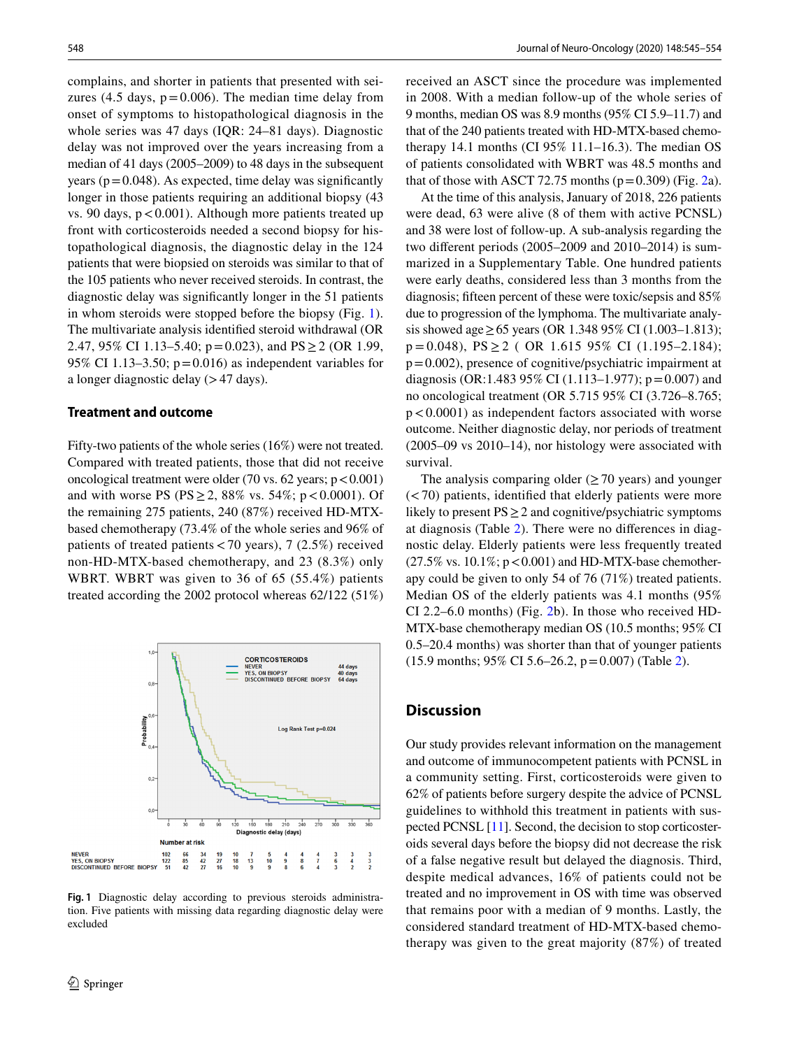complains, and shorter in patients that presented with seizures (4.5 days,  $p = 0.006$ ). The median time delay from onset of symptoms to histopathological diagnosis in the whole series was 47 days (IQR: 24–81 days). Diagnostic delay was not improved over the years increasing from a median of 41 days (2005–2009) to 48 days in the subsequent years ( $p = 0.048$ ). As expected, time delay was significantly longer in those patients requiring an additional biopsy (43 vs. 90 days,  $p < 0.001$ ). Although more patients treated up front with corticosteroids needed a second biopsy for histopathological diagnosis, the diagnostic delay in the 124 patients that were biopsied on steroids was similar to that of the 105 patients who never received steroids. In contrast, the diagnostic delay was signifcantly longer in the 51 patients in whom steroids were stopped before the biopsy (Fig. [1](#page-3-0)). The multivariate analysis identifed steroid withdrawal (OR 2.47, 95% CI 1.13–5.40;  $p=0.023$ ), and PS  $\geq$  2 (OR 1.99, 95% CI 1.13–3.50;  $p=0.016$ ) as independent variables for a longer diagnostic delay  $(>47 \text{ days})$ .

#### **Treatment and outcome**

Fifty-two patients of the whole series (16%) were not treated. Compared with treated patients, those that did not receive oncological treatment were older (70 vs. 62 years;  $p < 0.001$ ) and with worse PS (PS  $\geq$  2, 88% vs. 54%; p < 0.0001). Of the remaining 275 patients, 240 (87%) received HD-MTXbased chemotherapy (73.4% of the whole series and 96% of patients of treated patients<70 years), 7 (2.5%) received non-HD-MTX-based chemotherapy, and 23 (8.3%) only WBRT. WBRT was given to 36 of 65 (55.4%) patients treated according the 2002 protocol whereas 62/122 (51%)



<span id="page-3-0"></span>**Fig. 1** Diagnostic delay according to previous steroids administration. Five patients with missing data regarding diagnostic delay were excluded

received an ASCT since the procedure was implemented in 2008. With a median follow-up of the whole series of 9 months, median OS was 8.9 months (95% CI 5.9–11.7) and that of the 240 patients treated with HD-MTX-based chemotherapy 14.1 months (CI 95% 11.1–16.3). The median OS of patients consolidated with WBRT was 48.5 months and that of those with ASCT 72.75 months  $(p=0.309)$  (Fig. [2](#page-4-0)a).

At the time of this analysis, January of 2018, 226 patients were dead, 63 were alive (8 of them with active PCNSL) and 38 were lost of follow-up. A sub-analysis regarding the two diferent periods (2005–2009 and 2010–2014) is summarized in a Supplementary Table. One hundred patients were early deaths, considered less than 3 months from the diagnosis; ffteen percent of these were toxic/sepsis and 85% due to progression of the lymphoma. The multivariate analysis showed age ≥ 65 years (OR 1.348 95% CI (1.003–1.813);  $p = 0.048$ ,  $PS \ge 2$  (OR 1.615 95% CI (1.195–2.184);  $p=0.002$ ), presence of cognitive/psychiatric impairment at diagnosis (OR:1.483 95% CI (1.113–1.977);  $p = 0.007$ ) and no oncological treatment (OR 5.715 95% CI (3.726–8.765;  $p < 0.0001$ ) as independent factors associated with worse outcome. Neither diagnostic delay, nor periods of treatment (2005–09 vs 2010–14), nor histology were associated with survival.

The analysis comparing older  $(270 \text{ years})$  and younger  $(< 70$ ) patients, identified that elderly patients were more likely to present  $PS \geq 2$  and cognitive/psychiatric symptoms at diagnosis (Table [2\)](#page-4-1). There were no diferences in diagnostic delay. Elderly patients were less frequently treated  $(27.5\% \text{ vs. } 10.1\%; \text{ p} < 0.001)$  and HD-MTX-base chemotherapy could be given to only 54 of 76 (71%) treated patients. Median OS of the elderly patients was 4.1 months (95% CI 2.2–6.0 months) (Fig. [2b](#page-4-0)). In those who received HD-MTX-base chemotherapy median OS (10.5 months; 95% CI 0.5–20.4 months) was shorter than that of younger patients (15.9 months; 95% CI 5.6–26.2, p=0.007) (Table [2](#page-4-1)).

#### **Discussion**

Our study provides relevant information on the management and outcome of immunocompetent patients with PCNSL in a community setting. First, corticosteroids were given to 62% of patients before surgery despite the advice of PCNSL guidelines to withhold this treatment in patients with suspected PCNSL [\[11](#page-7-9)]. Second, the decision to stop corticosteroids several days before the biopsy did not decrease the risk of a false negative result but delayed the diagnosis. Third, despite medical advances, 16% of patients could not be treated and no improvement in OS with time was observed that remains poor with a median of 9 months. Lastly, the considered standard treatment of HD-MTX-based chemotherapy was given to the great majority (87%) of treated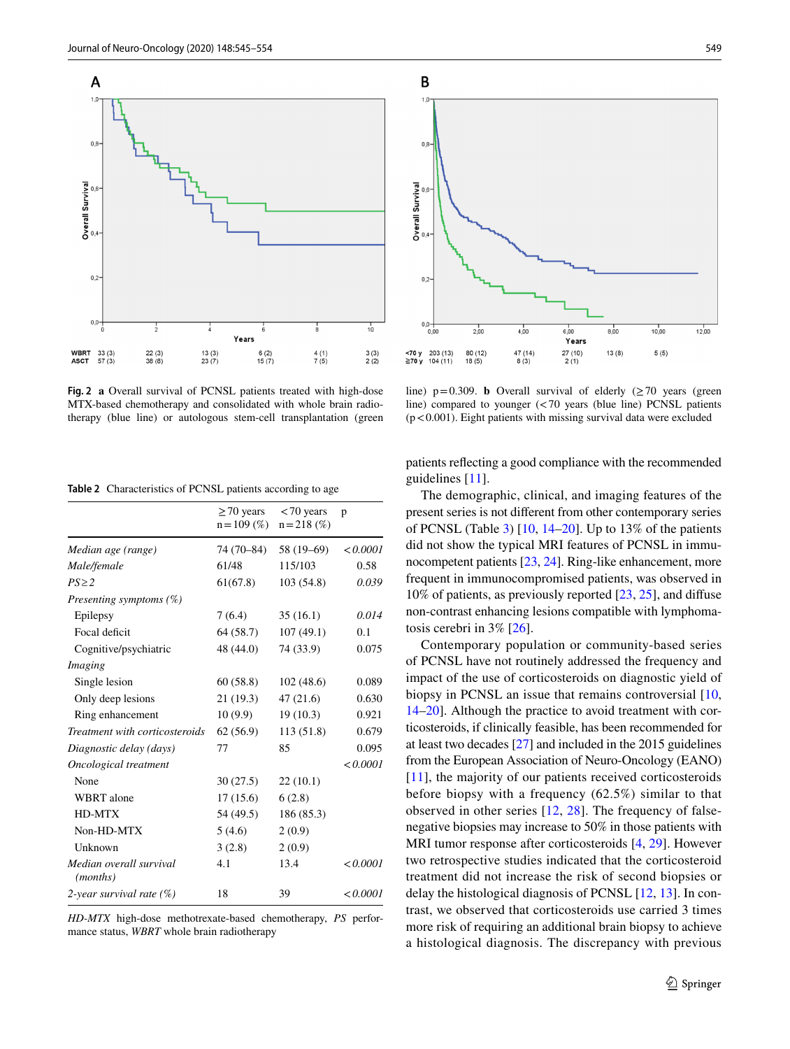A  $11$ 

 $0.5$ 

Overall Survival

 $0,2$ 

 $0,0 -$ 

**WBRT<br>ASCT** 33 (3)<br>57 (3) 7

 $22(3)$ <br> $38(8)$ 

<span id="page-4-0"></span>**Fig. 2 a** Overall survival of PCNSL patients treated with high-dose MTX-based chemotherapy and consolidated with whole brain radiotherapy (blue line) or autologous stem-cell transplantation (green

 $13(3)$ <br> $23(7)$ 

Years

 $6(2)$ <br>15 $(7)$ 

 $\frac{1}{10}$ 

 $3(3)$ <br>2(2)

 $\frac{4(1)}{7(5)}$ 

<span id="page-4-1"></span>**Table 2** Characteristics of PCNSL patients according to age

|                                              | $\geq$ 70 years<br>$n = 109$ (%) | $< 70$ years<br>$n = 218$ (%) | p        |
|----------------------------------------------|----------------------------------|-------------------------------|----------|
| Median age (range)                           | 74 (70–84)                       | 58 (19–69)                    | < 0.0001 |
| Male/female                                  | 61/48                            | 115/103                       | 0.58     |
| $PS \geq 2$                                  | 61(67.8)                         | 103(54.8)                     | 0.039    |
| Presenting symptoms $(\%)$                   |                                  |                               |          |
| Epilepsy                                     | 7(6.4)                           | 35(16.1)                      | 0.014    |
| Focal deficit                                | 64 (58.7)                        | 107(49.1)                     | 0.1      |
| Cognitive/psychiatric                        | 48 (44.0)                        | 74 (33.9)                     | 0.075    |
| Imaging                                      |                                  |                               |          |
| Single lesion                                | 60(58.8)                         | 102(48.6)                     | 0.089    |
| Only deep lesions                            | 21 (19.3)                        | 47(21.6)                      | 0.630    |
| Ring enhancement                             | 10(9.9)                          | 19(10.3)                      | 0.921    |
| Treatment with corticosteroids               | 62(56.9)                         | 113 (51.8)                    | 0.679    |
| Diagnostic delay (days)                      | 77                               | 85                            | 0.095    |
| Oncological treatment                        |                                  |                               | < 0.0001 |
| None                                         | 30(27.5)                         | 22(10.1)                      |          |
| <b>WBRT</b> alone                            | 17(15.6)                         | 6(2.8)                        |          |
| HD-MTX                                       | 54 (49.5)                        | 186 (85.3)                    |          |
| Non-HD-MTX                                   | 5(4.6)                           | 2(0.9)                        |          |
| Unknown                                      | 3(2.8)                           | 2(0.9)                        |          |
| Median overall survival<br>( <i>months</i> ) | 4.1                              | 13.4                          | < 0.0001 |
| 2-year survival rate $(\%)$                  | 18                               | 39                            | < 0.0001 |

*HD-MTX* high-dose methotrexate-based chemotherapy, *PS* performance status, *WBRT* whole brain radiotherapy



line)  $p=0.309$ . **b** Overall survival of elderly ( $\geq$  70 years (green line) compared to younger (<70 years (blue line) PCNSL patients  $(p<0.001)$ . Eight patients with missing survival data were excluded

patients refecting a good compliance with the recommended guidelines [[11\]](#page-7-9).

The demographic, clinical, and imaging features of the present series is not diferent from other contemporary series of PCNSL (Table [3](#page-5-0)) [\[10,](#page-7-8) [14–](#page-7-12)[20\]](#page-7-13). Up to 13% of the patients did not show the typical MRI features of PCNSL in immunocompetent patients [\[23](#page-7-16), [24\]](#page-7-17). Ring-like enhancement, more frequent in immunocompromised patients, was observed in 10% of patients, as previously reported [\[23](#page-7-16), [25](#page-7-18)], and difuse non-contrast enhancing lesions compatible with lymphomatosis cerebri in 3% [[26\]](#page-7-19).

Contemporary population or community-based series of PCNSL have not routinely addressed the frequency and impact of the use of corticosteroids on diagnostic yield of biopsy in PCNSL an issue that remains controversial [[10,](#page-7-8) [14](#page-7-12)[–20](#page-7-13)]. Although the practice to avoid treatment with corticosteroids, if clinically feasible, has been recommended for at least two decades [\[27](#page-7-20)] and included in the 2015 guidelines from the European Association of Neuro-Oncology (EANO) [[11\]](#page-7-9), the majority of our patients received corticosteroids before biopsy with a frequency (62.5%) similar to that observed in other series [[12](#page-7-10), [28\]](#page-8-0). The frequency of falsenegative biopsies may increase to 50% in those patients with MRI tumor response after corticosteroids [\[4](#page-7-3), [29\]](#page-8-1). However two retrospective studies indicated that the corticosteroid treatment did not increase the risk of second biopsies or delay the histological diagnosis of PCNSL [\[12](#page-7-10), [13](#page-7-11)]. In contrast, we observed that corticosteroids use carried 3 times more risk of requiring an additional brain biopsy to achieve a histological diagnosis. The discrepancy with previous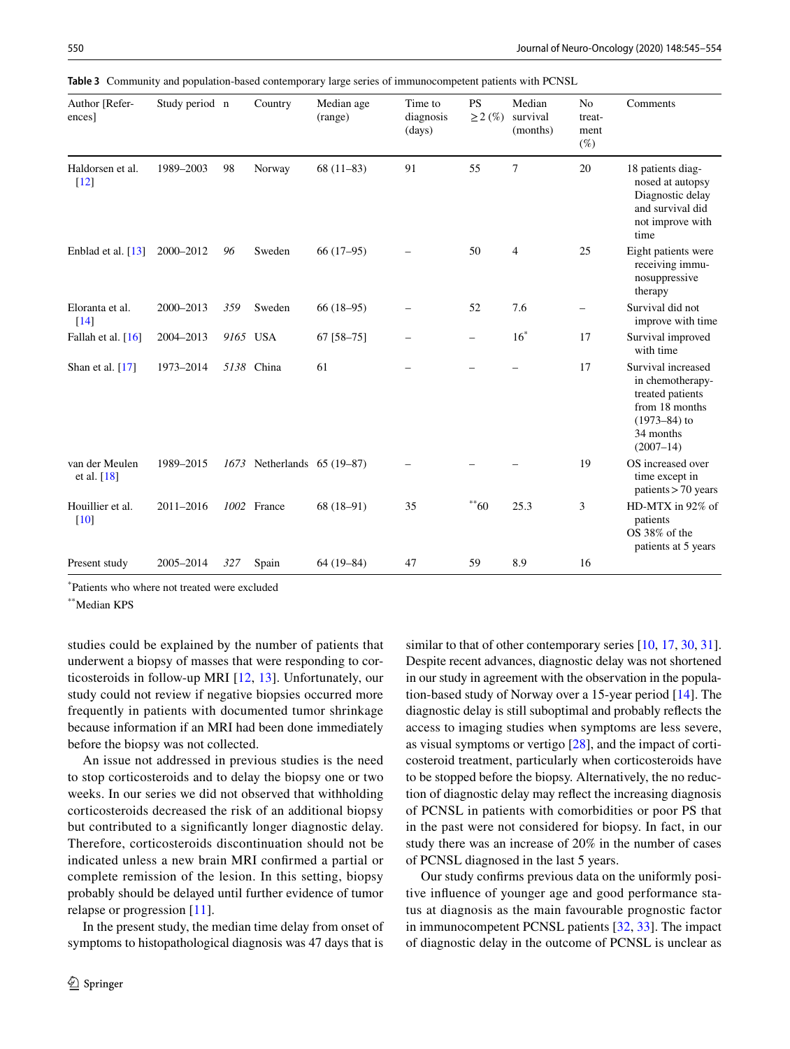<span id="page-5-0"></span>**Table 3** Community and population-based contemporary large series of immunocompetent patients with PCNSL

| Author [Refer-<br>ences]               | Study period n |      | Country                 | Median age<br>(range) | Time to<br>diagnosis<br>(days) | <b>PS</b><br>$\geq$ 2 $(\%)$ | Median<br>survival<br>(months) | N <sub>o</sub><br>treat-<br>ment<br>$(\%)$ | Comments                                                                                                                       |
|----------------------------------------|----------------|------|-------------------------|-----------------------|--------------------------------|------------------------------|--------------------------------|--------------------------------------------|--------------------------------------------------------------------------------------------------------------------------------|
| Haldorsen et al.<br>$[12]$             | 1989-2003      | 98   | Norway                  | $68(11-83)$           | 91                             | 55                           | 7                              | 20                                         | 18 patients diag-<br>nosed at autopsy<br>Diagnostic delay<br>and survival did<br>not improve with<br>time                      |
| Enblad et al. $[13]$                   | 2000-2012      | 96   | Sweden                  | $66(17-95)$           |                                | 50                           | $\overline{4}$                 | 25                                         | Eight patients were<br>receiving immu-<br>nosuppressive<br>therapy                                                             |
| Eloranta et al.<br>$[14]$              | 2000-2013      | 359  | Sweden                  | $66(18-95)$           |                                | 52                           | 7.6                            | $\overline{\phantom{0}}$                   | Survival did not<br>improve with time                                                                                          |
| Fallah et al. [16]                     | 2004-2013      |      | 9165 USA                | $67$ [58-75]          |                                | $\overline{\phantom{0}}$     | $16^*$                         | 17                                         | Survival improved<br>with time                                                                                                 |
| Shan et al. [17]                       | 1973-2014      |      | 5138 China              | 61                    |                                |                              |                                | 17                                         | Survival increased<br>in chemotherapy-<br>treated patients<br>from 18 months<br>$(1973 - 84)$ to<br>34 months<br>$(2007 - 14)$ |
| van der Meulen<br>et al. $[18]$        | 1989-2015      | 1673 | Netherlands $65(19-87)$ |                       |                                |                              |                                | 19                                         | OS increased over<br>time except in<br>patients $> 70$ years                                                                   |
| Houillier et al.<br>$\lceil 10 \rceil$ | 2011-2016      |      | 1002 France             | $68(18-91)$           | 35                             | $**60$                       | 25.3                           | 3                                          | HD-MTX in 92% of<br>patients<br>OS 38% of the<br>patients at 5 years                                                           |
| Present study                          | 2005-2014      | 327  | Spain                   | $64(19-84)$           | 47                             | 59                           | 8.9                            | 16                                         |                                                                                                                                |

\* Patients who where not treated were excluded

\*\*Median KPS

studies could be explained by the number of patients that underwent a biopsy of masses that were responding to corticosteroids in follow-up MRI [\[12,](#page-7-10) [13](#page-7-11)]. Unfortunately, our study could not review if negative biopsies occurred more frequently in patients with documented tumor shrinkage because information if an MRI had been done immediately before the biopsy was not collected.

An issue not addressed in previous studies is the need to stop corticosteroids and to delay the biopsy one or two weeks. In our series we did not observed that withholding corticosteroids decreased the risk of an additional biopsy but contributed to a signifcantly longer diagnostic delay. Therefore, corticosteroids discontinuation should not be indicated unless a new brain MRI confrmed a partial or complete remission of the lesion. In this setting, biopsy probably should be delayed until further evidence of tumor relapse or progression [[11](#page-7-9)].

In the present study, the median time delay from onset of symptoms to histopathological diagnosis was 47 days that is similar to that of other contemporary series [[10,](#page-7-8) [17,](#page-7-21) [30,](#page-8-2) [31](#page-8-3)]. Despite recent advances, diagnostic delay was not shortened in our study in agreement with the observation in the population-based study of Norway over a 15-year period [\[14](#page-7-12)]. The diagnostic delay is still suboptimal and probably refects the access to imaging studies when symptoms are less severe, as visual symptoms or vertigo [[28\]](#page-8-0), and the impact of corticosteroid treatment, particularly when corticosteroids have to be stopped before the biopsy. Alternatively, the no reduction of diagnostic delay may refect the increasing diagnosis of PCNSL in patients with comorbidities or poor PS that in the past were not considered for biopsy. In fact, in our study there was an increase of 20% in the number of cases of PCNSL diagnosed in the last 5 years.

Our study confrms previous data on the uniformly positive infuence of younger age and good performance status at diagnosis as the main favourable prognostic factor in immunocompetent PCNSL patients [\[32](#page-8-4), [33](#page-8-5)]. The impact of diagnostic delay in the outcome of PCNSL is unclear as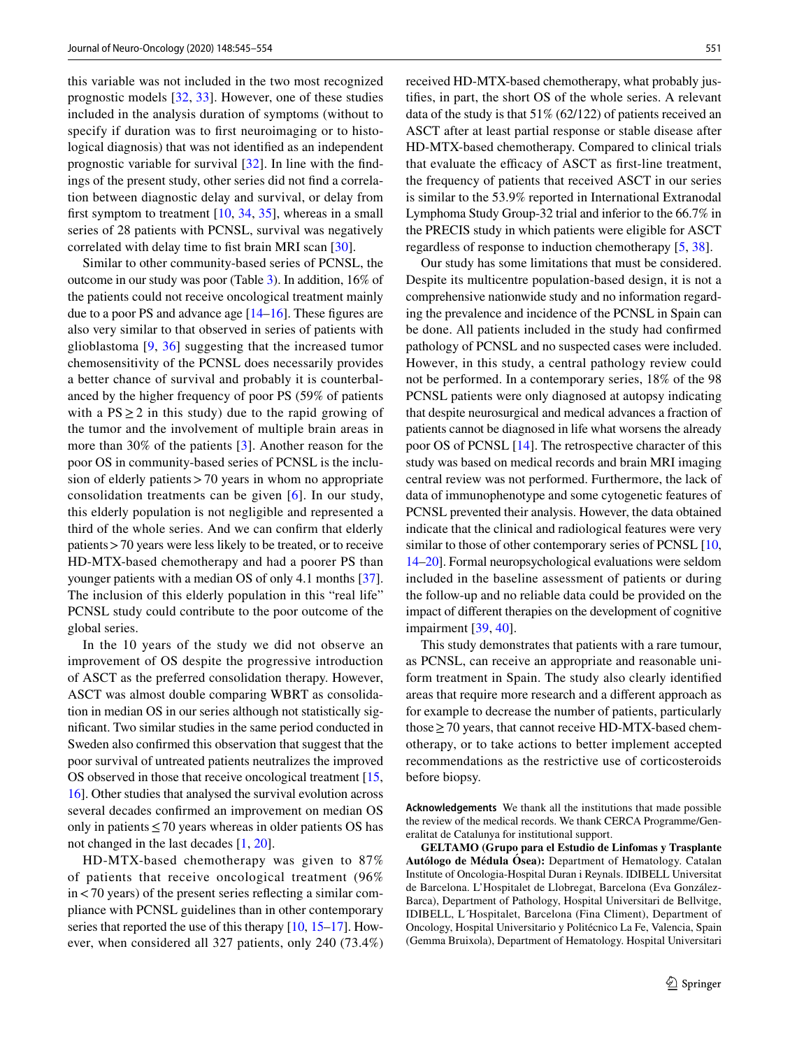this variable was not included in the two most recognized prognostic models [\[32](#page-8-4), [33](#page-8-5)]. However, one of these studies included in the analysis duration of symptoms (without to specify if duration was to frst neuroimaging or to histological diagnosis) that was not identifed as an independent prognostic variable for survival [\[32\]](#page-8-4). In line with the fndings of the present study, other series did not fnd a correlation between diagnostic delay and survival, or delay from first symptom to treatment  $[10, 34, 35]$  $[10, 34, 35]$  $[10, 34, 35]$  $[10, 34, 35]$  $[10, 34, 35]$  $[10, 34, 35]$ , whereas in a small series of 28 patients with PCNSL, survival was negatively correlated with delay time to fist brain MRI scan [[30\]](#page-8-2).

Similar to other community-based series of PCNSL, the outcome in our study was poor (Table [3](#page-5-0)). In addition, 16% of the patients could not receive oncological treatment mainly due to a poor PS and advance age  $[14–16]$  $[14–16]$  $[14–16]$ . These figures are also very similar to that observed in series of patients with glioblastoma [\[9,](#page-7-24) [36\]](#page-8-8) suggesting that the increased tumor chemosensitivity of the PCNSL does necessarily provides a better chance of survival and probably it is counterbalanced by the higher frequency of poor PS (59% of patients with a  $PS \ge 2$  in this study) due to the rapid growing of the tumor and the involvement of multiple brain areas in more than 30% of the patients [[3\]](#page-7-2). Another reason for the poor OS in community-based series of PCNSL is the inclusion of elderly patients > 70 years in whom no appropriate consolidation treatments can be given [[6](#page-7-5)]. In our study, this elderly population is not negligible and represented a third of the whole series. And we can confrm that elderly patients>70 years were less likely to be treated, or to receive HD-MTX-based chemotherapy and had a poorer PS than younger patients with a median OS of only 4.1 months [\[37](#page-8-9)]. The inclusion of this elderly population in this "real life" PCNSL study could contribute to the poor outcome of the global series.

In the 10 years of the study we did not observe an improvement of OS despite the progressive introduction of ASCT as the preferred consolidation therapy. However, ASCT was almost double comparing WBRT as consolidation in median OS in our series although not statistically signifcant. Two similar studies in the same period conducted in Sweden also confrmed this observation that suggest that the poor survival of untreated patients neutralizes the improved OS observed in those that receive oncological treatment [[15,](#page-7-25) [16\]](#page-7-22). Other studies that analysed the survival evolution across several decades confrmed an improvement on median OS only in patients  $\leq$  70 years whereas in older patients OS has not changed in the last decades [[1,](#page-7-0) [20\]](#page-7-13).

HD-MTX-based chemotherapy was given to 87% of patients that receive oncological treatment (96% in<70 years) of the present series refecting a similar compliance with PCNSL guidelines than in other contemporary series that reported the use of this therapy  $[10, 15-17]$  $[10, 15-17]$  $[10, 15-17]$  $[10, 15-17]$ . However, when considered all 327 patients, only 240 (73.4%) received HD-MTX-based chemotherapy, what probably justifes, in part, the short OS of the whole series. A relevant data of the study is that 51% (62/122) of patients received an ASCT after at least partial response or stable disease after HD-MTX-based chemotherapy. Compared to clinical trials that evaluate the efficacy of ASCT as first-line treatment, the frequency of patients that received ASCT in our series is similar to the 53.9% reported in International Extranodal Lymphoma Study Group-32 trial and inferior to the 66.7% in the PRECIS study in which patients were eligible for ASCT regardless of response to induction chemotherapy [[5,](#page-7-4) [38\]](#page-8-10).

Our study has some limitations that must be considered. Despite its multicentre population-based design, it is not a comprehensive nationwide study and no information regarding the prevalence and incidence of the PCNSL in Spain can be done. All patients included in the study had confrmed pathology of PCNSL and no suspected cases were included. However, in this study, a central pathology review could not be performed. In a contemporary series, 18% of the 98 PCNSL patients were only diagnosed at autopsy indicating that despite neurosurgical and medical advances a fraction of patients cannot be diagnosed in life what worsens the already poor OS of PCNSL [[14\]](#page-7-12). The retrospective character of this study was based on medical records and brain MRI imaging central review was not performed. Furthermore, the lack of data of immunophenotype and some cytogenetic features of PCNSL prevented their analysis. However, the data obtained indicate that the clinical and radiological features were very similar to those of other contemporary series of PCNSL [[10,](#page-7-8) [14–](#page-7-12)[20\]](#page-7-13). Formal neuropsychological evaluations were seldom included in the baseline assessment of patients or during the follow-up and no reliable data could be provided on the impact of diferent therapies on the development of cognitive impairment [[39,](#page-8-11) [40\]](#page-8-12).

This study demonstrates that patients with a rare tumour, as PCNSL, can receive an appropriate and reasonable uniform treatment in Spain. The study also clearly identifed areas that require more research and a diferent approach as for example to decrease the number of patients, particularly those  $\geq$  70 years, that cannot receive HD-MTX-based chemotherapy, or to take actions to better implement accepted recommendations as the restrictive use of corticosteroids before biopsy.

**Acknowledgements** We thank all the institutions that made possible the review of the medical records. We thank CERCA Programme/Generalitat de Catalunya for institutional support.

**GELTAMO (Grupo para el Estudio de Linfomas y Trasplante Autólogo de Médula Ósea):** Department of Hematology. Catalan Institute of Oncologia-Hospital Duran i Reynals. IDIBELL Universitat de Barcelona. L'Hospitalet de Llobregat, Barcelona (Eva González-Barca), Department of Pathology, Hospital Universitari de Bellvitge, IDIBELL, L´Hospitalet, Barcelona (Fina Climent), Department of Oncology, Hospital Universitario y Politécnico La Fe, Valencia, Spain (Gemma Bruixola), Department of Hematology. Hospital Universitari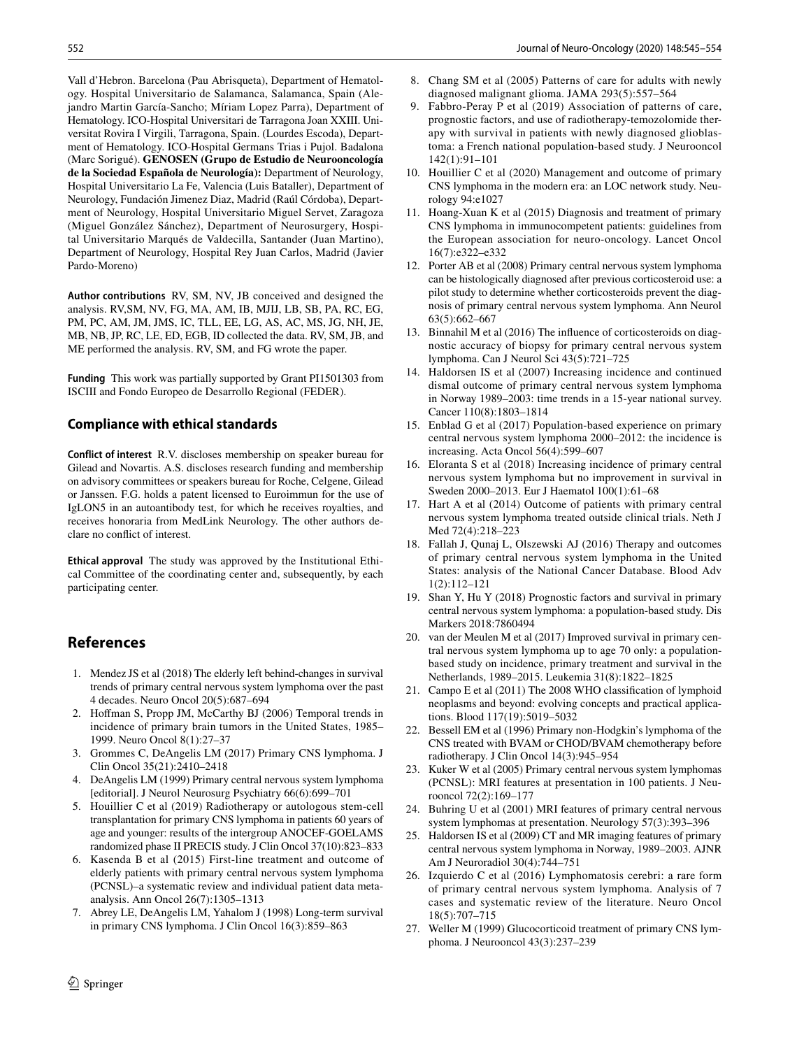Vall d'Hebron. Barcelona (Pau Abrisqueta), Department of Hematology. Hospital Universitario de Salamanca, Salamanca, Spain (Alejandro Martin García-Sancho; Míriam Lopez Parra), Department of Hematology. ICO-Hospital Universitari de Tarragona Joan XXIII. Universitat Rovira I Virgili, Tarragona, Spain. (Lourdes Escoda), Department of Hematology. ICO-Hospital Germans Trias i Pujol. Badalona (Marc Sorigué). **GENOSEN (Grupo de Estudio de Neurooncología de la Sociedad Española de Neurología):** Department of Neurology, Hospital Universitario La Fe, Valencia (Luis Bataller), Department of Neurology, Fundación Jimenez Diaz, Madrid (Raúl Córdoba), Department of Neurology, Hospital Universitario Miguel Servet, Zaragoza (Miguel González Sánchez), Department of Neurosurgery, Hospital Universitario Marqués de Valdecilla, Santander (Juan Martino), Department of Neurology, Hospital Rey Juan Carlos, Madrid (Javier Pardo-Moreno)

**Author contributions** RV, SM, NV, JB conceived and designed the analysis. RV,SM, NV, FG, MA, AM, IB, MJIJ, LB, SB, PA, RC, EG, PM, PC, AM, JM, JMS, IC, TLL, EE, LG, AS, AC, MS, JG, NH, JE, MB, NB, JP, RC, LE, ED, EGB, ID collected the data. RV, SM, JB, and ME performed the analysis. RV, SM, and FG wrote the paper.

**Funding** This work was partially supported by Grant PI1501303 from ISCIII and Fondo Europeo de Desarrollo Regional (FEDER).

# **Compliance with ethical standards**

**Conflict of interest** R.V. discloses membership on speaker bureau for Gilead and Novartis. A.S. discloses research funding and membership on advisory committees or speakers bureau for Roche, Celgene, Gilead or Janssen. F.G. holds a patent licensed to Euroimmun for the use of IgLON5 in an autoantibody test, for which he receives royalties, and receives honoraria from MedLink Neurology. The other authors declare no confict of interest.

**Ethical approval** The study was approved by the Institutional Ethical Committee of the coordinating center and, subsequently, by each participating center.

# **References**

- <span id="page-7-0"></span>1. Mendez JS et al (2018) The elderly left behind-changes in survival trends of primary central nervous system lymphoma over the past 4 decades. Neuro Oncol 20(5):687–694
- <span id="page-7-1"></span>2. Hofman S, Propp JM, McCarthy BJ (2006) Temporal trends in incidence of primary brain tumors in the United States, 1985– 1999. Neuro Oncol 8(1):27–37
- <span id="page-7-2"></span>3. Grommes C, DeAngelis LM (2017) Primary CNS lymphoma. J Clin Oncol 35(21):2410–2418
- <span id="page-7-3"></span>4. DeAngelis LM (1999) Primary central nervous system lymphoma [editorial]. J Neurol Neurosurg Psychiatry 66(6):699–701
- <span id="page-7-4"></span>5. Houillier C et al (2019) Radiotherapy or autologous stem-cell transplantation for primary CNS lymphoma in patients 60 years of age and younger: results of the intergroup ANOCEF-GOELAMS randomized phase II PRECIS study. J Clin Oncol 37(10):823–833
- <span id="page-7-5"></span>Kasenda B et al (2015) First-line treatment and outcome of elderly patients with primary central nervous system lymphoma (PCNSL)–a systematic review and individual patient data metaanalysis. Ann Oncol 26(7):1305–1313
- <span id="page-7-6"></span>7. Abrey LE, DeAngelis LM, Yahalom J (1998) Long-term survival in primary CNS lymphoma. J Clin Oncol 16(3):859–863
- <span id="page-7-7"></span>8. Chang SM et al (2005) Patterns of care for adults with newly diagnosed malignant glioma. JAMA 293(5):557–564
- <span id="page-7-24"></span>9. Fabbro-Peray P et al (2019) Association of patterns of care, prognostic factors, and use of radiotherapy-temozolomide therapy with survival in patients with newly diagnosed glioblastoma: a French national population-based study. J Neurooncol 142(1):91–101
- <span id="page-7-8"></span>10. Houillier C et al (2020) Management and outcome of primary CNS lymphoma in the modern era: an LOC network study. Neurology 94:e1027
- <span id="page-7-9"></span>11. Hoang-Xuan K et al (2015) Diagnosis and treatment of primary CNS lymphoma in immunocompetent patients: guidelines from the European association for neuro-oncology. Lancet Oncol 16(7):e322–e332
- <span id="page-7-10"></span>12. Porter AB et al (2008) Primary central nervous system lymphoma can be histologically diagnosed after previous corticosteroid use: a pilot study to determine whether corticosteroids prevent the diagnosis of primary central nervous system lymphoma. Ann Neurol 63(5):662–667
- <span id="page-7-11"></span>13. Binnahil M et al (2016) The infuence of corticosteroids on diagnostic accuracy of biopsy for primary central nervous system lymphoma. Can J Neurol Sci 43(5):721–725
- <span id="page-7-12"></span>14. Haldorsen IS et al (2007) Increasing incidence and continued dismal outcome of primary central nervous system lymphoma in Norway 1989–2003: time trends in a 15-year national survey. Cancer 110(8):1803–1814
- <span id="page-7-25"></span>15. Enblad G et al (2017) Population-based experience on primary central nervous system lymphoma 2000–2012: the incidence is increasing. Acta Oncol 56(4):599–607
- <span id="page-7-22"></span>16. Eloranta S et al (2018) Increasing incidence of primary central nervous system lymphoma but no improvement in survival in Sweden 2000–2013. Eur J Haematol 100(1):61–68
- <span id="page-7-21"></span>17. Hart A et al (2014) Outcome of patients with primary central nervous system lymphoma treated outside clinical trials. Neth J Med 72(4):218–223
- <span id="page-7-23"></span>18. Fallah J, Qunaj L, Olszewski AJ (2016) Therapy and outcomes of primary central nervous system lymphoma in the United States: analysis of the National Cancer Database. Blood Adv 1(2):112–121
- 19. Shan Y, Hu Y (2018) Prognostic factors and survival in primary central nervous system lymphoma: a population-based study. Dis Markers 2018:7860494
- <span id="page-7-13"></span>20. van der Meulen M et al (2017) Improved survival in primary central nervous system lymphoma up to age 70 only: a populationbased study on incidence, primary treatment and survival in the Netherlands, 1989–2015. Leukemia 31(8):1822–1825
- <span id="page-7-14"></span>21. Campo E et al (2011) The 2008 WHO classifcation of lymphoid neoplasms and beyond: evolving concepts and practical applications. Blood 117(19):5019–5032
- <span id="page-7-15"></span>22. Bessell EM et al (1996) Primary non-Hodgkin's lymphoma of the CNS treated with BVAM or CHOD/BVAM chemotherapy before radiotherapy. J Clin Oncol 14(3):945–954
- <span id="page-7-16"></span>23. Kuker W et al (2005) Primary central nervous system lymphomas (PCNSL): MRI features at presentation in 100 patients. J Neurooncol 72(2):169–177
- <span id="page-7-17"></span>24. Buhring U et al (2001) MRI features of primary central nervous system lymphomas at presentation. Neurology 57(3):393–396
- <span id="page-7-18"></span>25. Haldorsen IS et al (2009) CT and MR imaging features of primary central nervous system lymphoma in Norway, 1989–2003. AJNR Am J Neuroradiol 30(4):744–751
- <span id="page-7-19"></span>26. Izquierdo C et al (2016) Lymphomatosis cerebri: a rare form of primary central nervous system lymphoma. Analysis of 7 cases and systematic review of the literature. Neuro Oncol 18(5):707–715
- <span id="page-7-20"></span>27. Weller M (1999) Glucocorticoid treatment of primary CNS lymphoma. J Neurooncol 43(3):237–239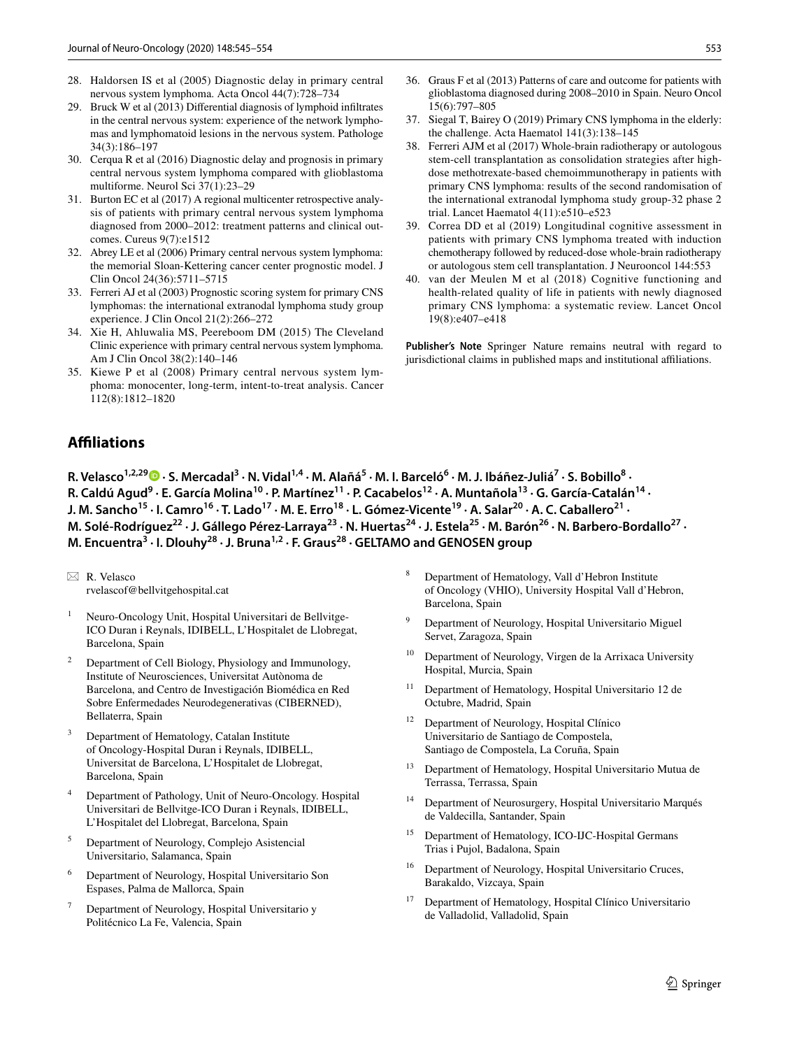- <span id="page-8-1"></span><span id="page-8-0"></span>29. Bruck W et al (2013) Diferential diagnosis of lymphoid infltrates in the central nervous system: experience of the network lymphomas and lymphomatoid lesions in the nervous system. Pathologe 34(3):186–197
- <span id="page-8-2"></span>30. Cerqua R et al (2016) Diagnostic delay and prognosis in primary central nervous system lymphoma compared with glioblastoma multiforme. Neurol Sci 37(1):23–29
- <span id="page-8-3"></span>31. Burton EC et al (2017) A regional multicenter retrospective analysis of patients with primary central nervous system lymphoma diagnosed from 2000–2012: treatment patterns and clinical outcomes. Cureus 9(7):e1512
- <span id="page-8-4"></span>32. Abrey LE et al (2006) Primary central nervous system lymphoma: the memorial Sloan-Kettering cancer center prognostic model. J Clin Oncol 24(36):5711–5715
- <span id="page-8-5"></span>33. Ferreri AJ et al (2003) Prognostic scoring system for primary CNS lymphomas: the international extranodal lymphoma study group experience. J Clin Oncol 21(2):266–272
- <span id="page-8-6"></span>34. Xie H, Ahluwalia MS, Peereboom DM (2015) The Cleveland Clinic experience with primary central nervous system lymphoma. Am J Clin Oncol 38(2):140–146
- <span id="page-8-7"></span>35. Kiewe P et al (2008) Primary central nervous system lymphoma: monocenter, long-term, intent-to-treat analysis. Cancer 112(8):1812–1820
- <span id="page-8-8"></span>36. Graus F et al (2013) Patterns of care and outcome for patients with glioblastoma diagnosed during 2008–2010 in Spain. Neuro Oncol 15(6):797–805
- <span id="page-8-9"></span>37. Siegal T, Bairey O (2019) Primary CNS lymphoma in the elderly: the challenge. Acta Haematol 141(3):138–145
- <span id="page-8-10"></span>38. Ferreri AJM et al (2017) Whole-brain radiotherapy or autologous stem-cell transplantation as consolidation strategies after highdose methotrexate-based chemoimmunotherapy in patients with primary CNS lymphoma: results of the second randomisation of the international extranodal lymphoma study group-32 phase 2 trial. Lancet Haematol 4(11):e510–e523
- <span id="page-8-11"></span>39. Correa DD et al (2019) Longitudinal cognitive assessment in patients with primary CNS lymphoma treated with induction chemotherapy followed by reduced-dose whole-brain radiotherapy or autologous stem cell transplantation. J Neurooncol 144:553
- <span id="page-8-12"></span>40. van der Meulen M et al (2018) Cognitive functioning and health-related quality of life in patients with newly diagnosed primary CNS lymphoma: a systematic review. Lancet Oncol 19(8):e407–e418

**Publisher's Note** Springer Nature remains neutral with regard to jurisdictional claims in published maps and institutional affiliations.

# **Afliations**

R.Velasco<sup>1,2,29</sup> D · S. Mercadal<sup>3</sup> · N. Vidal<sup>1,4</sup> · M. Alañá<sup>5</sup> · M. I. Barceló<sup>6</sup> · M. J. Ibáñez-Juliá<sup>7</sup> · S. Bobillo<sup>8</sup> · R. Caldú Agud<sup>9</sup> · E. García Molina<sup>10</sup> · P. Martínez<sup>11</sup> · P. Cacabelos<sup>12</sup> · A. Muntañola<sup>13</sup> · G. García-Catalán<sup>14</sup> · J. M. Sancho<sup>15</sup> · I. Camro<sup>16</sup> · T. Lado<sup>17</sup> · M. E. Erro<sup>18</sup> · L. Gómez-Vicente<sup>19</sup> · A. Salar<sup>20</sup> · A. C. Caballero<sup>21</sup> · M. Solé-Rodríguez<sup>22</sup> · J. Gállego Pérez-Larraya<sup>23</sup> · N. Huertas<sup>24</sup> · J. Estela<sup>25</sup> · M. Barón<sup>26</sup> · N. Barbero-Bordallo<sup>27</sup> · **M. Encuentra<sup>3</sup> · I. Dlouhy28 · J. Bruna1,2 · F. Graus28 · GELTAMO and GENOSEN group**

- <sup>1</sup> Neuro-Oncology Unit, Hospital Universitari de Bellvitge-ICO Duran i Reynals, IDIBELL, L'Hospitalet de Llobregat, Barcelona, Spain
- <sup>2</sup> Department of Cell Biology, Physiology and Immunology, Institute of Neurosciences, Universitat Autònoma de Barcelona, and Centro de Investigación Biomédica en Red Sobre Enfermedades Neurodegenerativas (CIBERNED), Bellaterra, Spain
- <sup>3</sup> Department of Hematology, Catalan Institute of Oncology-Hospital Duran i Reynals, IDIBELL, Universitat de Barcelona, L'Hospitalet de Llobregat, Barcelona, Spain
- Department of Pathology, Unit of Neuro-Oncology. Hospital Universitari de Bellvitge-ICO Duran i Reynals, IDIBELL, L'Hospitalet del Llobregat, Barcelona, Spain
- <sup>5</sup> Department of Neurology, Complejo Asistencial Universitario, Salamanca, Spain
- <sup>6</sup> Department of Neurology, Hospital Universitario Son Espases, Palma de Mallorca, Spain
- Department of Neurology, Hospital Universitario y Politécnico La Fe, Valencia, Spain
- <sup>8</sup> Department of Hematology, Vall d'Hebron Institute of Oncology (VHIO), University Hospital Vall d'Hebron, Barcelona, Spain
- Department of Neurology, Hospital Universitario Miguel Servet, Zaragoza, Spain
- <sup>10</sup> Department of Neurology, Virgen de la Arrixaca University Hospital, Murcia, Spain
- <sup>11</sup> Department of Hematology, Hospital Universitario 12 de Octubre, Madrid, Spain
- Department of Neurology, Hospital Clínico Universitario de Santiago de Compostela, Santiago de Compostela, La Coruña, Spain
- <sup>13</sup> Department of Hematology, Hospital Universitario Mutua de Terrassa, Terrassa, Spain
- Department of Neurosurgery, Hospital Universitario Marqués de Valdecilla, Santander, Spain
- <sup>15</sup> Department of Hematology, ICO-IJC-Hospital Germans Trias i Pujol, Badalona, Spain
- <sup>16</sup> Department of Neurology, Hospital Universitario Cruces, Barakaldo, Vizcaya, Spain
- <sup>17</sup> Department of Hematology, Hospital Clínico Universitario de Valladolid, Valladolid, Spain

 $\boxtimes$  R. Velasco rvelascof@bellvitgehospital.cat